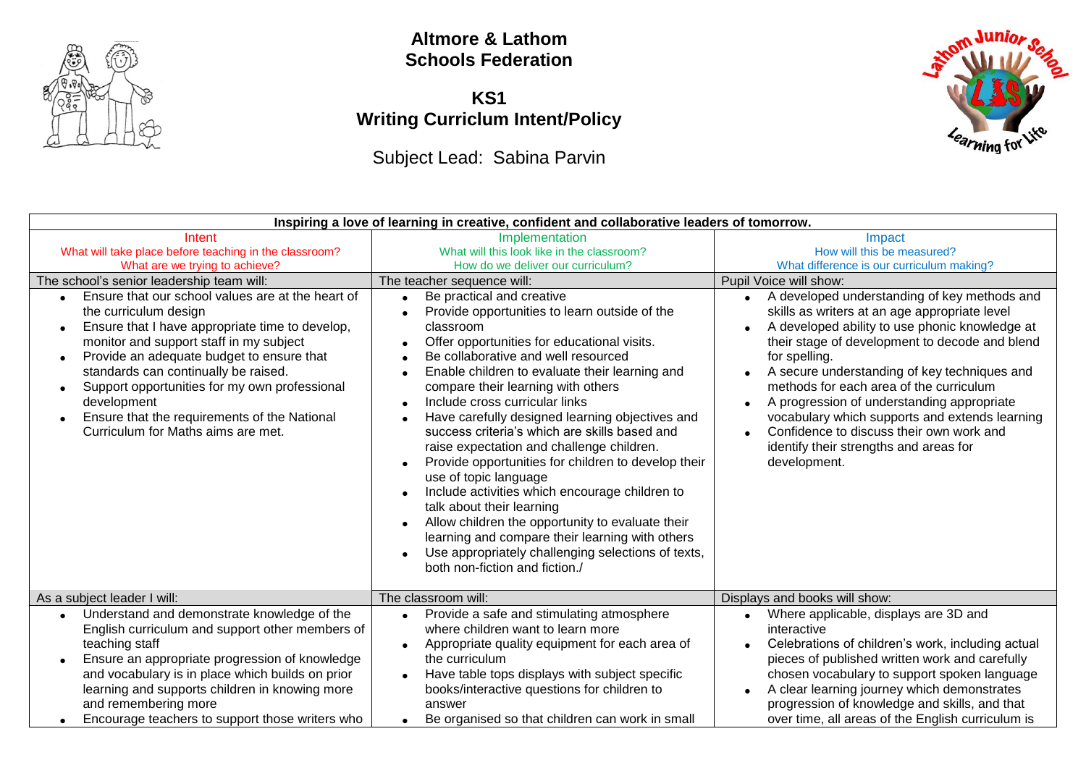

## **Altmore & Lathom Schools Federation**

## **KS1 Writing Curriclum Intent/Policy**

Subject Lead: Sabina Parvin



| Inspiring a love of learning in creative, confident and collaborative leaders of tomorrow.                                                                                                                                                                                                                                                                                                                                                                                                                                                                                          |                                                                                                                                                                                                                                                                                                                                                                                                                                                                                                                                                                                                                                                                                                                                                                                                                                                                                                                                                                                                  |                                                                                                                                                                                                                                                                                                                                                                                                                                                                                                                                                                                                                                    |  |
|-------------------------------------------------------------------------------------------------------------------------------------------------------------------------------------------------------------------------------------------------------------------------------------------------------------------------------------------------------------------------------------------------------------------------------------------------------------------------------------------------------------------------------------------------------------------------------------|--------------------------------------------------------------------------------------------------------------------------------------------------------------------------------------------------------------------------------------------------------------------------------------------------------------------------------------------------------------------------------------------------------------------------------------------------------------------------------------------------------------------------------------------------------------------------------------------------------------------------------------------------------------------------------------------------------------------------------------------------------------------------------------------------------------------------------------------------------------------------------------------------------------------------------------------------------------------------------------------------|------------------------------------------------------------------------------------------------------------------------------------------------------------------------------------------------------------------------------------------------------------------------------------------------------------------------------------------------------------------------------------------------------------------------------------------------------------------------------------------------------------------------------------------------------------------------------------------------------------------------------------|--|
| Intent<br>What will take place before teaching in the classroom?<br>What are we trying to achieve?<br>The school's senior leadership team will:<br>Ensure that our school values are at the heart of<br>the curriculum design<br>Ensure that I have appropriate time to develop,<br>monitor and support staff in my subject<br>Provide an adequate budget to ensure that<br>$\bullet$<br>standards can continually be raised.<br>Support opportunities for my own professional<br>development<br>Ensure that the requirements of the National<br>Curriculum for Maths aims are met. | Implementation<br>What will this look like in the classroom?<br>How do we deliver our curriculum?<br>The teacher sequence will:<br>Be practical and creative<br>$\bullet$<br>Provide opportunities to learn outside of the<br>classroom<br>Offer opportunities for educational visits.<br>Be collaborative and well resourced<br>Enable children to evaluate their learning and<br>$\bullet$<br>compare their learning with others<br>Include cross curricular links<br>$\bullet$<br>Have carefully designed learning objectives and<br>success criteria's which are skills based and<br>raise expectation and challenge children.<br>Provide opportunities for children to develop their<br>use of topic language<br>Include activities which encourage children to<br>talk about their learning<br>Allow children the opportunity to evaluate their<br>learning and compare their learning with others<br>Use appropriately challenging selections of texts,<br>both non-fiction and fiction./ | Impact<br>How will this be measured?<br>What difference is our curriculum making?<br>Pupil Voice will show:<br>A developed understanding of key methods and<br>skills as writers at an age appropriate level<br>A developed ability to use phonic knowledge at<br>their stage of development to decode and blend<br>for spelling.<br>A secure understanding of key techniques and<br>methods for each area of the curriculum<br>A progression of understanding appropriate<br>vocabulary which supports and extends learning<br>Confidence to discuss their own work and<br>identify their strengths and areas for<br>development. |  |
| As a subject leader I will:                                                                                                                                                                                                                                                                                                                                                                                                                                                                                                                                                         | The classroom will:                                                                                                                                                                                                                                                                                                                                                                                                                                                                                                                                                                                                                                                                                                                                                                                                                                                                                                                                                                              | Displays and books will show:                                                                                                                                                                                                                                                                                                                                                                                                                                                                                                                                                                                                      |  |
| Understand and demonstrate knowledge of the<br>English curriculum and support other members of<br>teaching staff<br>Ensure an appropriate progression of knowledge<br>and vocabulary is in place which builds on prior<br>learning and supports children in knowing more<br>and remembering more<br>Encourage teachers to support those writers who                                                                                                                                                                                                                                 | Provide a safe and stimulating atmosphere<br>$\bullet$<br>where children want to learn more<br>Appropriate quality equipment for each area of<br>$\bullet$<br>the curriculum<br>Have table tops displays with subject specific<br>$\bullet$<br>books/interactive questions for children to<br>answer<br>Be organised so that children can work in small                                                                                                                                                                                                                                                                                                                                                                                                                                                                                                                                                                                                                                          | Where applicable, displays are 3D and<br>interactive<br>Celebrations of children's work, including actual<br>pieces of published written work and carefully<br>chosen vocabulary to support spoken language<br>A clear learning journey which demonstrates<br>progression of knowledge and skills, and that<br>over time, all areas of the English curriculum is                                                                                                                                                                                                                                                                   |  |